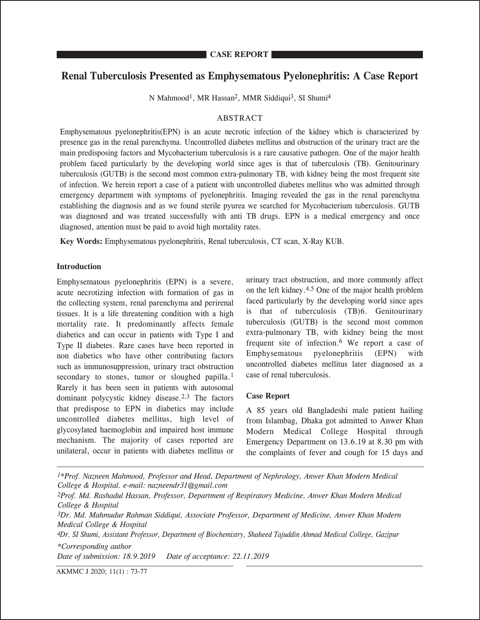# **Renal Tuberculosis Presented as Emphysematous Pyelonephritis: A Case Report**

N Mahmood<sup>1</sup>, MR Hassan<sup>2</sup>, MMR Siddiqui<sup>3</sup>, SI Shumi<sup>4</sup>

## ABSTRACT

Emphysematous pyelonephritis(EPN) is an acute necrotic infection of the kidney which is characterized by presence gas in the renal parenchyma. Uncontrolled diabetes mellitus and obstruction of the urinary tract are the main predisposing factors and Mycobacterium tuberculosis is a rare causative pathogen. One of the major health problem faced particularly by the developing world since ages is that of tuberculosis (TB). Genitourinary tuberculosis (GUTB) is the second most common extra-pulmonary TB, with kidney being the most frequent site of infection. We herein report a case of a patient with uncontrolled diabetes mellitus who was admitted through emergency department with symptoms of pyelonephritis. Imaging revealed the gas in the renal parenchyma establishing the diagnosis and as we found sterile pyurea we searched for Mycobacterium tuberculosis. GUTB was diagnosed and was treated successfully with anti TB drugs. EPN is a medical emergency and once diagnosed, attention must be paid to avoid high mortality rates.

**Key Words:** Emphysematous pyelonephritis, Renal tuberculosis, CT scan, X-Ray KUB.

### **Introduction**

**CASE REPORT**

Emphysematous pyelonephritis (EPN) is a severe, acute necrotizing infection with formation of gas in the collecting system, renal parenchyma and perirenal tissues. It is a life threatening condition with a high mortality rate. It predominantly affects female diabetics and can occur in patients with Type I and Type II diabetes. Rare cases have been reported in non diabetics who have other contributing factors such as immunosuppression, urinary tract obstruction secondary to stones, tumor or sloughed papilla.<sup>1</sup> Rarely it has been seen in patients with autosomal dominant polycystic kidney disease.2,3 The factors that predispose to EPN in diabetics may include uncontrolled diabetes mellitus, high level of glycosylated haemoglobin and impaired host immune mechanism. The majority of cases reported are unilateral, occur in patients with diabetes mellitus or

urinary tract obstruction, and more commonly affect on the left kidney.4,5 One of the major health problem faced particularly by the developing world since ages is that of tuberculosis (TB)6. Genitourinary tuberculosis (GUTB) is the second most common extra-pulmonary TB, with kidney being the most frequent site of infection.6 We report a case of Emphysematous pyelonephritis (EPN) with uncontrolled diabetes mellitus later diagnosed as a case of renal tuberculosis.

## **Case Report**

A 85 years old Bangladeshi male patient hailing from Islambag, Dhaka got admitted to Anwer Khan Modern Medical College Hospital through Emergency Department on 13.6.19 at 8.30 pm with the complaints of fever and cough for 15 days and

*1\*Prof. Nazneen Mahmood, Professor and Head, Department of Nephrology, Anwer Khan Modern Medical College & Hospital. e-mail: nazneendr31@gmail.com 2Prof. Md. Rashadul Hassan, Professor, Department of Respiratory Medicine, Anwer Khan Modern Medical College & Hospital 3Dr. Md. Mahmudur Rahman Siddiqui, Associate Professor, Department of Medicine, Anwer Khan Modern Medical College & Hospital 4Dr. SI Shumi, Assistant Professor, Department of Biochemistry, Shaheed Tajuddin Ahmad Medical College, Gazipur \*Corresponding author Date of submission: 18.9.2019 Date of acceptance: 22.11.2019*

AKMMC J 2020; 11(1) : 73-77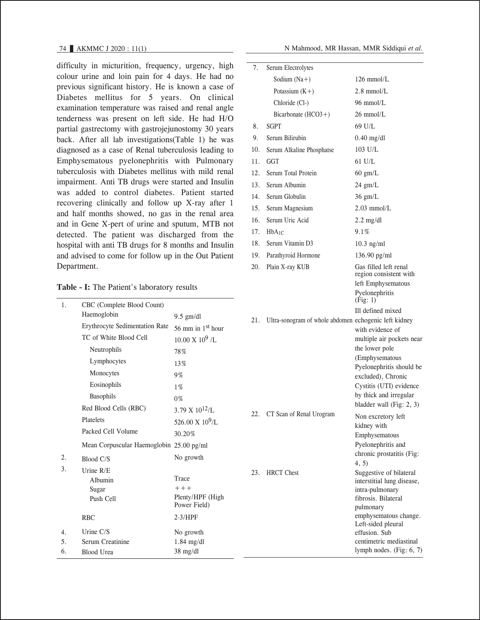difficulty in micturition, frequency, urgency, high colour urine and loin pain for 4 days. He had no previous significant history. He is known a case of Diabetes mellitus for 5 years. On clinical examination temperature was raised and renal angle tenderness was present on left side. He had H/O partial gastrectomy with gastrojejunostomy 30 years back. After all lab investigations(Table 1) he was diagnosed as a case of Renal tuberculosis leading to Emphysematous pyelonephritis with Pulmonary tuberculosis with Diabetes mellitus with mild renal impairment. Anti TB drugs were started and Insulin was added to control diabetes. Patient started recovering clinically and follow up X-ray after 1 and half months showed, no gas in the renal area and in Gene X-pert of urine and sputum, MTB not detected. The patient was discharged from the hospital with anti TB drugs for 8 months and Insulin and advised to come for follow up in the Out Patient Department.

### **Table - I:** The Patient's laboratory results

|  |  | N Mahmood. MR Hassan. MMR Siddiqui et al. |  |
|--|--|-------------------------------------------|--|

| 7.  | Serum Electrolytes                                    |                                                                                                                                                                                                                                           |
|-----|-------------------------------------------------------|-------------------------------------------------------------------------------------------------------------------------------------------------------------------------------------------------------------------------------------------|
|     | Sodium $(Na+)$                                        | 126 mmol/L                                                                                                                                                                                                                                |
|     | Potassium $(K+)$                                      | $2.8$ mmol/L                                                                                                                                                                                                                              |
|     | Chloride (Cl-)                                        | $96 \text{ mmol/L}$                                                                                                                                                                                                                       |
|     | Bicarbonate $(HCO3+)$                                 | $26 \text{ mmol/L}$                                                                                                                                                                                                                       |
| 8.  | SGPT                                                  | 69 U/L                                                                                                                                                                                                                                    |
| 9.  | Serum Bilirubin                                       | $0.40$ mg/dl                                                                                                                                                                                                                              |
| 10. | Serum Alkaline Phosphatse                             | 103 U/L                                                                                                                                                                                                                                   |
| 11. | <b>GGT</b>                                            | $61$ U/L                                                                                                                                                                                                                                  |
| 12. | Serum Total Protein                                   | $60 \text{ gm/L}$                                                                                                                                                                                                                         |
| 13. | Serum Albumin                                         | $24$ gm/L                                                                                                                                                                                                                                 |
| 14. | Serum Globulin                                        | $36$ gm/L                                                                                                                                                                                                                                 |
| 15. | Serum Magnesium                                       | $2.03$ mmol/L                                                                                                                                                                                                                             |
| 16. | Serum Uric Acid                                       | $2.2$ mg/dl                                                                                                                                                                                                                               |
| 17. | $HbA_{1C}$                                            | 9.1%                                                                                                                                                                                                                                      |
| 18. | Serum Vitamin D3                                      | $10.3$ ng/ml                                                                                                                                                                                                                              |
| 19. | Parathyroid Hormone                                   | 136.90 pg/ml                                                                                                                                                                                                                              |
| 20. | Plain X-ray KUB                                       | Gas filled left renal<br>region consistent with                                                                                                                                                                                           |
|     |                                                       | left Emphysematous<br>Pyelonephritis<br>(Fig: 1)                                                                                                                                                                                          |
| 21. | Ultra-sonogram of whole abdomen echogenic left kidney | Ill defined mixed<br>with evidence of<br>multiple air pockets near<br>the lower pole<br>(Emphysematous<br>Pyelonephritis should be<br>excluded), Chronic<br>Cystitis (UTI) evidence<br>by thick and irregular<br>bladder wall (Fig: 2, 3) |
|     | 22. CT Scan of Renal Urogram                          | Non excretory left<br>kidney with<br>Emphysematous<br>Pyelonephritis and<br>chronic prostatitis (Fig:<br>4, 5)                                                                                                                            |
| 23. | <b>HRCT</b> Chest                                     | Suggestive of bilateral<br>interstitial lung disease,<br>intra-pulmonary<br>fibrosis. Bilateral<br>pulmonary<br>emphysematous change.<br>Left-sided pleural<br>effusion. Sub<br>centimetric mediastinal<br>lymph nodes. $(Fig: 6, 7)$     |

| 1. | CBC (Complete Blood Count)               |                         |  |  |
|----|------------------------------------------|-------------------------|--|--|
|    | Haemoglobin                              | $9.5$ gm/dl             |  |  |
|    | <b>Erythrocyte Sedimentation Rate</b>    | 56 mm in $1st$ hour     |  |  |
|    | TC of White Blood Cell                   | $10.00 \times 10^9$ /I. |  |  |
|    | Neutrophils                              | 78%                     |  |  |
|    | Lymphocytes                              | 13%                     |  |  |
|    | Monocytes                                | 9%                      |  |  |
|    | Eosinophils                              | $1\%$                   |  |  |
|    | <b>Basophils</b>                         | $0\%$                   |  |  |
|    | Red Blood Cells (RBC)                    | 3.79 X $10^{12}$ /L     |  |  |
|    | Platelets                                | 526.00 X $10^9$ /L      |  |  |
|    | Packed Cell Volume                       | 30.20%                  |  |  |
|    | Mean Corpuscular Haemoglobin 25.00 pg/ml |                         |  |  |
| 2. | Blood C/S                                | No growth               |  |  |
| 3. | Urine $R/E$                              |                         |  |  |
|    | Albumin                                  | Trace                   |  |  |
|    | Sugar                                    | $++ +$                  |  |  |
|    | Push Cell                                | Plenty/HPF (High        |  |  |
|    |                                          | Power Field)            |  |  |
|    | <b>RBC</b>                               | $2-3/HPF$               |  |  |
| 4. | Urine $C/S$                              | No growth               |  |  |
| 5. | Serum Creatinine                         | $1.84$ mg/dl            |  |  |
| 6. | <b>Blood Urea</b>                        | 38 mg/dl                |  |  |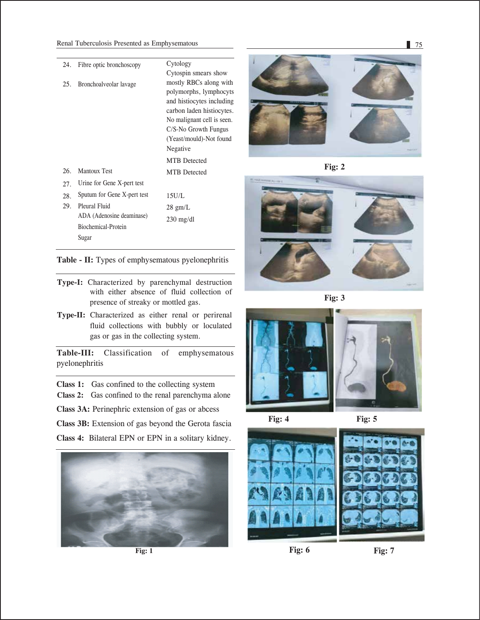| 24. | Fibre optic bronchoscopy    | Cytology                   |
|-----|-----------------------------|----------------------------|
|     |                             | Cytospin smears show       |
| 25. | Bronchoalveolar lavage      | mostly RBCs along with     |
|     |                             | polymorphs, lymphocyts     |
|     |                             | and histocytes including   |
|     |                             | carbon laden histiocytes.  |
|     |                             | No malignant cell is seen. |
|     |                             | C/S-No Growth Fungus       |
|     |                             | (Yeast/mould)-Not found    |
|     |                             | Negative                   |
|     |                             | <b>MTR</b> Detected        |
| 26. | <b>Mantoux Test</b>         | <b>MTB</b> Detected        |
| 27. | Urine for Gene X-pert test  |                            |
| 28. | Sputum for Gene X-pert test | 15U/L                      |
| 29. | Pleural Fluid               | $28$ gm/L                  |
|     | ADA (Adenosine deaminase)   | $230 \text{ mg/dl}$        |
|     | Biochemical-Protein         |                            |
|     | Sugar                       |                            |

**Table - II:** Types of emphysematous pyelonephritis

- **Type-I:** Characterized by parenchymal destruction with either absence of fluid collection of presence of streaky or mottled gas.
- **Type-II:** Characterized as either renal or perirenal fluid collections with bubbly or loculated gas or gas in the collecting system.

**Table-III:** Classification of emphysematous pyelonephritis

**Class 1:** Gas confined to the collecting system

**Class 2:** Gas confined to the renal parenchyma alone

**Class 3A:** Perinephric extension of gas or abcess

**Class 3B:** Extension of gas beyond the Gerota fascia

**Class 4:** Bilateral EPN or EPN in a solitary kidney.



**Fig: 1** 



**Fig: 2**



**Fig: 3**





**Fig: 4 Fig: 5**



**Fig: 6 Fig: 7**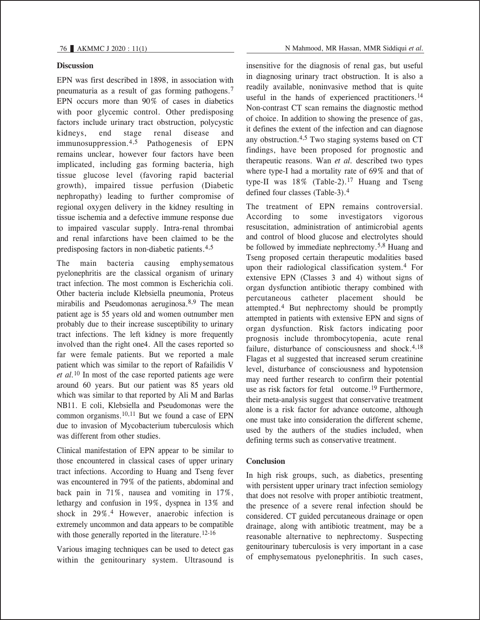## **Discussion**

EPN was first described in 1898, in association with pneumaturia as a result of gas forming pathogens.<sup>7</sup> EPN occurs more than 90% of cases in diabetics with poor glycemic control. Other predisposing factors include urinary tract obstruction, polycystic kidneys, end stage renal disease and immunosuppression.4,5 Pathogenesis of EPN remains unclear, however four factors have been implicated, including gas forming bacteria, high tissue glucose level (favoring rapid bacterial growth), impaired tissue perfusion (Diabetic nephropathy) leading to further compromise of regional oxygen delivery in the kidney resulting in tissue ischemia and a defective immune response due to impaired vascular supply. Intra-renal thrombai and renal infarctions have been claimed to be the predisposing factors in non-diabetic patients.4,5

The main bacteria causing emphysematous pyelonephritis are the classical organism of urinary tract infection. The most common is Escherichia coli. Other bacteria include Klebsiella pneumonia, Proteus mirabilis and Pseudomonas aeruginosa.<sup>8,9</sup> The mean patient age is 55 years old and women outnumber men probably due to their increase susceptibility to urinary tract infections. The left kidney is more frequently involved than the right one4. All the cases reported so far were female patients. But we reported a male patient which was similar to the report of Rafailidis V *et al.*10 In most of the case reported patients age were around 60 years. But our patient was 85 years old which was similar to that reported by Ali M and Barlas NB11. E coli, Klebsiella and Pseudomonas were the common organisms.10,11 But we found a case of EPN due to invasion of Mycobacterium tuberculosis which was different from other studies.

Clinical manifestation of EPN appear to be similar to those encountered in classical cases of upper urinary tract infections. According to Huang and Tseng fever was encountered in 79% of the patients, abdominal and back pain in 71%, nausea and vomiting in 17%, lethargy and confusion in 19%, dyspnea in 13% and shock in 29%.4 However, anaerobic infection is extremely uncommon and data appears to be compatible with those generally reported in the literature.<sup>12-16</sup>

Various imaging techniques can be used to detect gas within the genitourinary system. Ultrasound is insensitive for the diagnosis of renal gas, but useful in diagnosing urinary tract obstruction. It is also a readily available, noninvasive method that is quite useful in the hands of experienced practitioners.<sup>14</sup> Non-contrast CT scan remains the diagnostic method of choice. In addition to showing the presence of gas, it defines the extent of the infection and can diagnose any obstruction.4,5 Two staging systems based on CT findings, have been proposed for prognostic and therapeutic reasons. Wan *et al.* described two types where type-I had a mortality rate of 69% and that of type-II was  $18\%$  (Table-2).<sup>17</sup> Huang and Tseng defined four classes (Table-3).4

The treatment of EPN remains controversial. According to some investigators vigorous resuscitation, administration of antimicrobial agents and control of blood glucose and electrolytes should be followed by immediate nephrectomy.5,8 Huang and Tseng proposed certain therapeutic modalities based upon their radiological classification system.4 For extensive EPN (Classes 3 and 4) without signs of organ dysfunction antibiotic therapy combined with percutaneous catheter placement should be attempted.4 But nephrectomy should be promptly attempted in patients with extensive EPN and signs of organ dysfunction. Risk factors indicating poor prognosis include thrombocytopenia, acute renal failure, disturbance of consciousness and shock. $4,18$ Flagas et al suggested that increased serum creatinine level, disturbance of consciousness and hypotension may need further research to confirm their potential use as risk factors for fetal outcome.<sup>19</sup> Furthermore, their meta-analysis suggest that conservative treatment alone is a risk factor for advance outcome, although one must take into consideration the different scheme, used by the authers of the studies included, when defining terms such as conservative treatment.

## **Conclusion**

In high risk groups, such, as diabetics, presenting with persistent upper urinary tract infection semiology that does not resolve with proper antibiotic treatment, the presence of a severe renal infection should be considered. CT guided percutaneous drainage or open drainage, along with antibiotic treatment, may be a reasonable alternative to nephrectomy. Suspecting genitourinary tuberculosis is very important in a case of emphysematous pyelonephritis. In such cases,